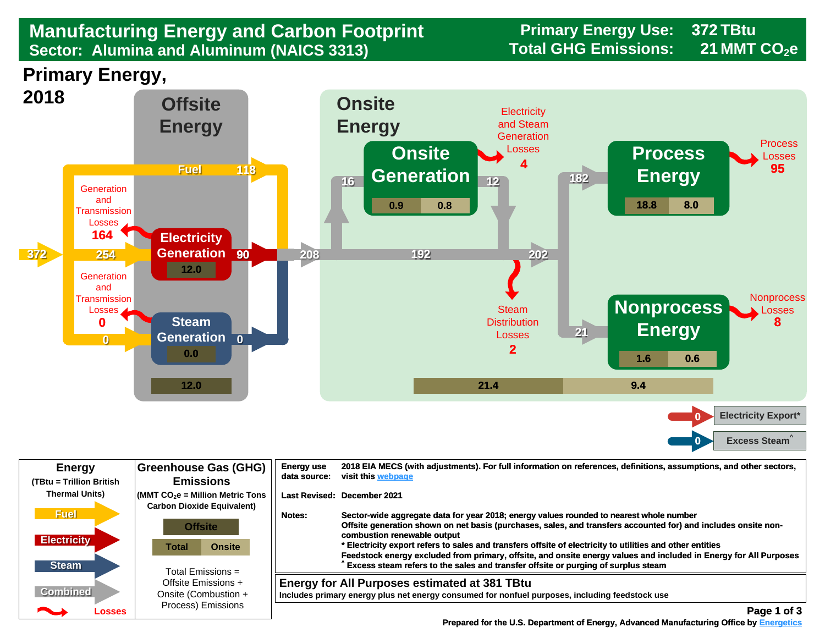## **Manufacturing Energy and Carbon Footprint Footpring Primary Energy Use:**<br>Sector: Alumina and Aluminum (NAICS 3313) Total GHG Emissions: **Sector: Alumina and Aluminum (NAICS 3313)**

**372**

**21**





| <b>Energy</b><br>(TBtu = Trillion British                                                                                                                                                                                                      | <b>Greenhouse Gas (GHG)</b><br><b>Emissions</b>                                                          | <b>Energy use</b><br>2018 EIA MECS (with adjustments). For full information on references, definitions, assumptions, and other sectors,<br>visit this webpage<br>data source:                                                                                                                                                                                                                                                                                                                                                                                             |  |
|------------------------------------------------------------------------------------------------------------------------------------------------------------------------------------------------------------------------------------------------|----------------------------------------------------------------------------------------------------------|---------------------------------------------------------------------------------------------------------------------------------------------------------------------------------------------------------------------------------------------------------------------------------------------------------------------------------------------------------------------------------------------------------------------------------------------------------------------------------------------------------------------------------------------------------------------------|--|
| <b>Thermal Units)</b>                                                                                                                                                                                                                          | $\sqrt{\frac{1}{100}}$ (MMT CO <sub>2</sub> e = Million Metric Tons<br><b>Carbon Dioxide Equivalent)</b> | Last Revised: December 2021                                                                                                                                                                                                                                                                                                                                                                                                                                                                                                                                               |  |
| <b>Fuel</b><br><b>Electricity</b><br><b>Steam</b>                                                                                                                                                                                              | <b>Offsite</b><br><b>Onsite</b><br>Total<br>Total Emissions =                                            | Sector-wide aggregate data for year 2018; energy values rounded to nearest whole number<br>Notes:<br>Offsite generation shown on net basis (purchases, sales, and transfers accounted for) and includes onsite non-<br>combustion renewable output<br>* Electricity export refers to sales and transfers offsite of electricity to utilities and other entities<br>Feedstock energy excluded from primary, offsite, and onsite energy values and included in Energy for All Purposes<br>Excess steam refers to the sales and transfer offsite or purging of surplus steam |  |
| <b>Combined</b>                                                                                                                                                                                                                                | Offsite Emissions +<br>Onsite (Combustion +                                                              | <b>Energy for All Purposes estimated at 381 TBtu</b><br>Includes primary energy plus net energy consumed for nonfuel purposes, including feedstock use                                                                                                                                                                                                                                                                                                                                                                                                                    |  |
| <u>android and the second second in the second second in the second second in the second second in the second second in the second second in the second second second in the second second second second second second second se</u><br>Losses | Process) Emissions                                                                                       | Page 1 of 3                                                                                                                                                                                                                                                                                                                                                                                                                                                                                                                                                               |  |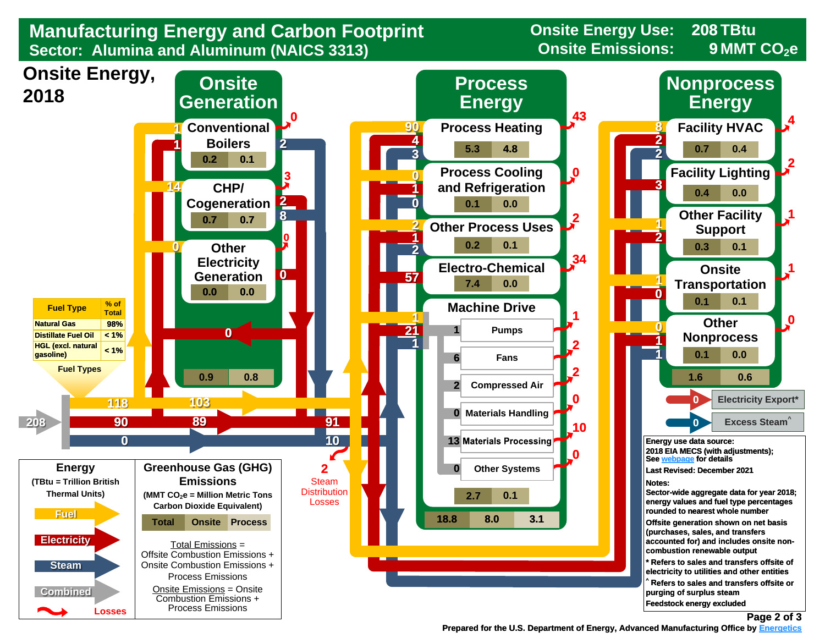